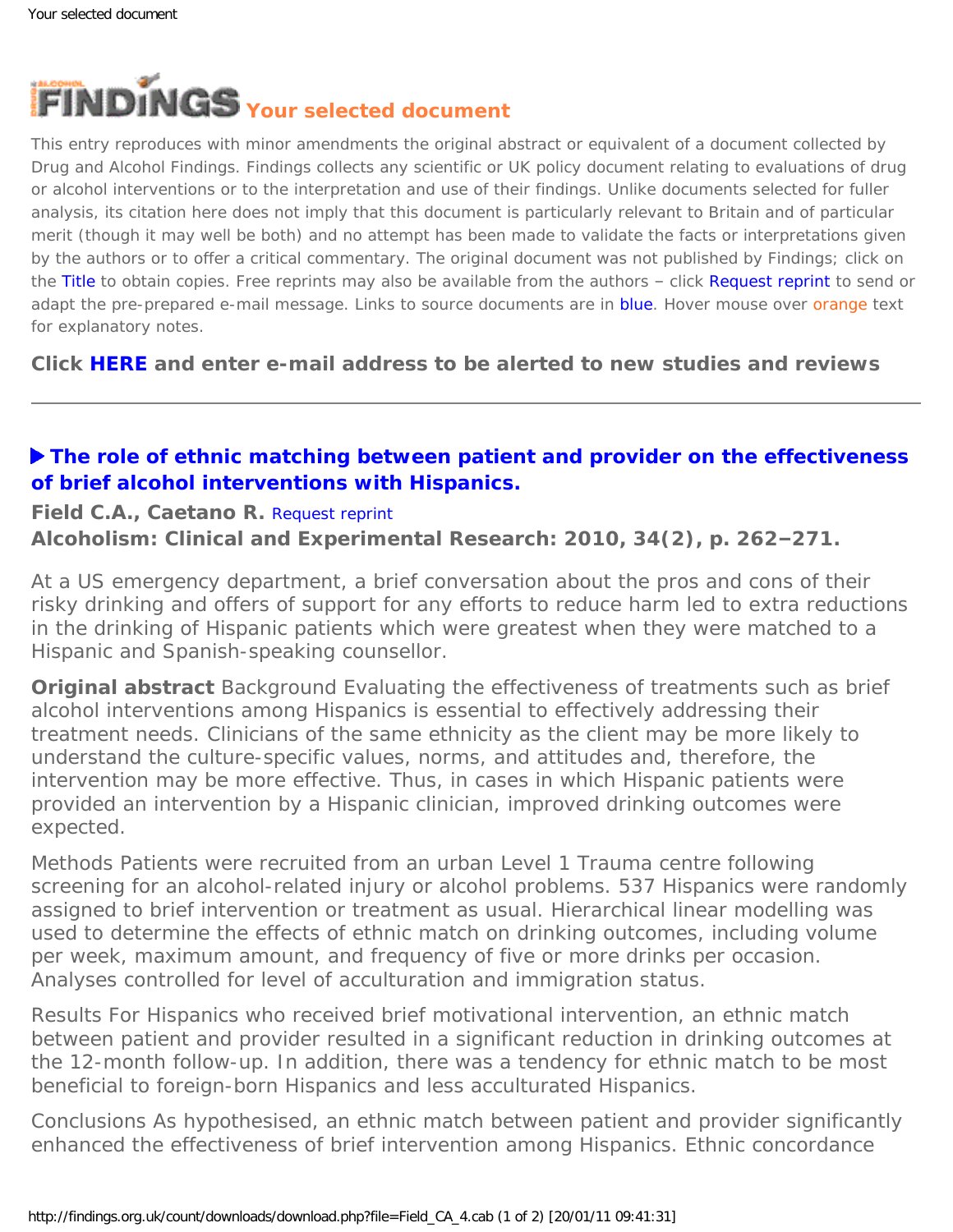<span id="page-0-0"></span>

This entry reproduces with minor amendments the original abstract or equivalent of a document collected by Drug and Alcohol Findings. Findings collects any scientific or UK policy document relating to evaluations of drug or alcohol interventions or to the interpretation and use of their findings. Unlike documents selected for fuller analysis, its citation here does not imply that this document is particularly relevant to Britain and of particular merit (though it may well be both) and no attempt has been made to validate the facts or interpretations given by the authors or to offer a critical commentary. The original document was not published by Findings; click on the Title to obtain copies. Free reprints may also be available from the authors - click Request reprint to send or adapt the pre-prepared e-mail message. Links to source documents are in blue. Hover mouse over orange text for explanatory notes.

**Click [HERE](https://findings.org.uk/index.php#signUp) and enter e-mail address to be alerted to new studies and reviews**

## **[The role of ethnic matching between patient and provider on the effectiveness](http://dx.doi.org/10.1111/j.1530-0277.2009.01089.x) [of brief alcohol interventions with Hispanics.](http://dx.doi.org/10.1111/j.1530-0277.2009.01089.x)**

## **Field C.A., Caetano R.** [Request reprint](mailto:craig.field@austin.utexas.edu?Subject=Reprint%20request&body=Dear Dr Field%0A%0AOn the Drug and Alcohol Findings web site (https://findings.org.uk) I read about your article:%0AField C.A., Caetano R. The role of ethnic matching between patient and provider on the effectiveness of brief alcohol interventions with Hispanics. Alcoholism: Clinical and Experimental Research: 2010, 34(2), p. 262-271.%0A%0AWould it be possible to for me to be sent a PDF reprint or the manuscript by return e-mail?%0A)

**Alcoholism: Clinical and Experimental Research: 2010, 34(2), p. 262–271.**

At a US emergency department, a brief conversation about the pros and cons of their risky drinking and offers of support for any efforts to reduce harm led to extra reductions in the drinking of Hispanic patients which were greatest when they were matched to a Hispanic and Spanish-speaking counsellor.

**Original abstract** *Background* Evaluating the effectiveness of treatments such as brief alcohol interventions among Hispanics is essential to effectively addressing their treatment needs. Clinicians of the same ethnicity as the client may be more likely to understand the culture-specific values, norms, and attitudes and, therefore, the intervention may be more effective. Thus, in cases in which Hispanic patients were provided an intervention by a Hispanic clinician, improved drinking outcomes were expected.

*Methods* Patients were recruited from an urban Level 1 Trauma centre following screening for an alcohol-related injury or alcohol problems. 537 Hispanics were randomly assigned to brief intervention or treatment as usual. Hierarchical linear modelling was used to determine the effects of ethnic match on drinking outcomes, including volume per week, maximum amount, and frequency of five or more drinks per occasion. Analyses controlled for level of acculturation and immigration status.

*Results* For Hispanics who received brief motivational intervention, an ethnic match between patient and provider resulted in a significant reduction in drinking outcomes at the 12-month follow-up. In addition, there was a tendency for ethnic match to be most beneficial to foreign-born Hispanics and less acculturated Hispanics.

*Conclusions* As hypothesised, an ethnic match between patient and provider significantly enhanced the effectiveness of brief intervention among Hispanics. Ethnic concordance